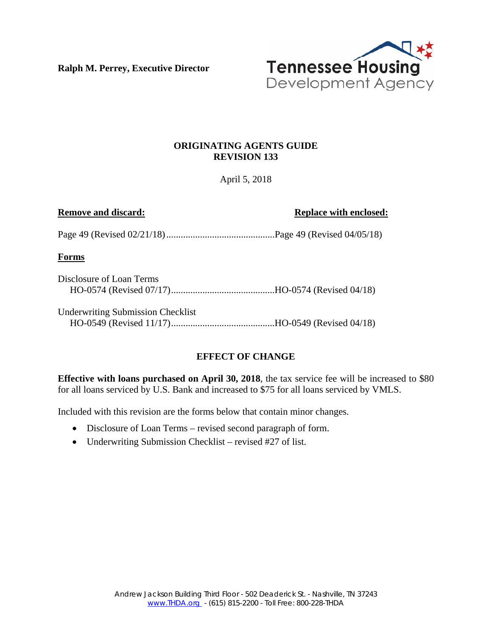**Ralph M. Perrey, Executive Director** 



## **ORIGINATING AGENTS GUIDE REVISION 133**

April 5, 2018

**Remove and discard: Replace with enclosed:** 

Page 49 (Revised 02/21/18) .............................................Page 49 (Revised 04/05/18)

**Forms** 

| Disclosure of Loan Terms |  |
|--------------------------|--|
|                          |  |

Underwriting Submission Checklist HO-0549 (Revised 11/17) ...........................................HO-0549 (Revised 04/18)

# **EFFECT OF CHANGE**

**Effective with loans purchased on April 30, 2018**, the tax service fee will be increased to \$80 for all loans serviced by U.S. Bank and increased to \$75 for all loans serviced by VMLS.

Included with this revision are the forms below that contain minor changes.

- Disclosure of Loan Terms revised second paragraph of form.
- Underwriting Submission Checklist revised #27 of list.